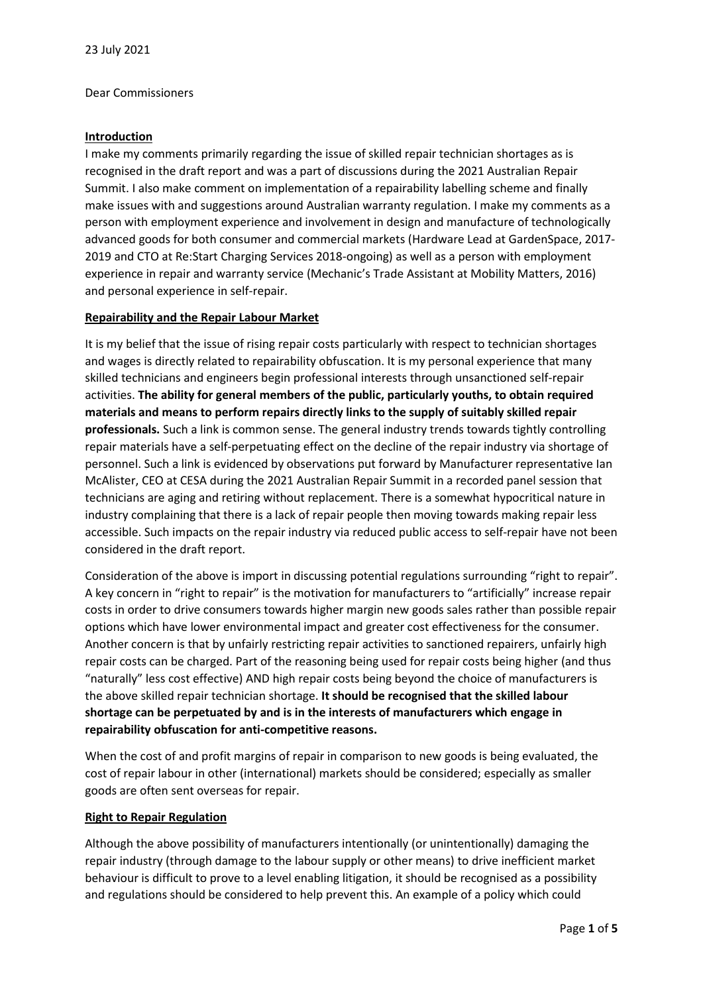#### Dear Commissioners

## **Introduction**

I make my comments primarily regarding the issue of skilled repair technician shortages as is recognised in the draft report and was a part of discussions during the 2021 Australian Repair Summit. I also make comment on implementation of a repairability labelling scheme and finally make issues with and suggestions around Australian warranty regulation. I make my comments as a person with employment experience and involvement in design and manufacture of technologically advanced goods for both consumer and commercial markets (Hardware Lead at GardenSpace, 2017- 2019 and CTO at Re:Start Charging Services 2018-ongoing) as well as a person with employment experience in repair and warranty service (Mechanic's Trade Assistant at Mobility Matters, 2016) and personal experience in self-repair.

#### **Repairability and the Repair Labour Market**

It is my belief that the issue of rising repair costs particularly with respect to technician shortages and wages is directly related to repairability obfuscation. It is my personal experience that many skilled technicians and engineers begin professional interests through unsanctioned self-repair activities. **The ability for general members of the public, particularly youths, to obtain required materials and means to perform repairs directly links to the supply of suitably skilled repair professionals.** Such a link is common sense. The general industry trends towards tightly controlling repair materials have a self-perpetuating effect on the decline of the repair industry via shortage of personnel. Such a link is evidenced by observations put forward by Manufacturer representative Ian McAlister, CEO at CESA during the 2021 Australian Repair Summit in a recorded panel session that technicians are aging and retiring without replacement. There is a somewhat hypocritical nature in industry complaining that there is a lack of repair people then moving towards making repair less accessible. Such impacts on the repair industry via reduced public access to self-repair have not been considered in the draft report.

Consideration of the above is import in discussing potential regulations surrounding "right to repair". A key concern in "right to repair" is the motivation for manufacturers to "artificially" increase repair costs in order to drive consumers towards higher margin new goods sales rather than possible repair options which have lower environmental impact and greater cost effectiveness for the consumer. Another concern is that by unfairly restricting repair activities to sanctioned repairers, unfairly high repair costs can be charged. Part of the reasoning being used for repair costs being higher (and thus "naturally" less cost effective) AND high repair costs being beyond the choice of manufacturers is the above skilled repair technician shortage. **It should be recognised that the skilled labour shortage can be perpetuated by and is in the interests of manufacturers which engage in repairability obfuscation for anti-competitive reasons.** 

When the cost of and profit margins of repair in comparison to new goods is being evaluated, the cost of repair labour in other (international) markets should be considered; especially as smaller goods are often sent overseas for repair.

## **Right to Repair Regulation**

Although the above possibility of manufacturers intentionally (or unintentionally) damaging the repair industry (through damage to the labour supply or other means) to drive inefficient market behaviour is difficult to prove to a level enabling litigation, it should be recognised as a possibility and regulations should be considered to help prevent this. An example of a policy which could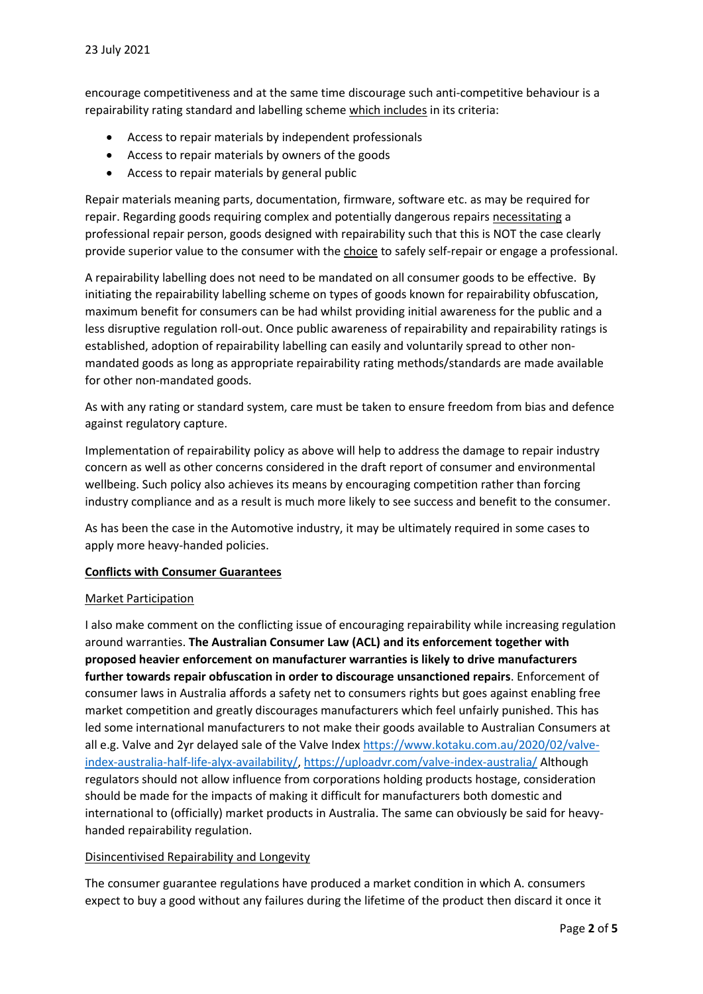encourage competitiveness and at the same time discourage such anti-competitive behaviour is a repairability rating standard and labelling scheme which includes in its criteria:

- Access to repair materials by independent professionals
- Access to repair materials by owners of the goods
- Access to repair materials by general public

Repair materials meaning parts, documentation, firmware, software etc. as may be required for repair. Regarding goods requiring complex and potentially dangerous repairs necessitating a professional repair person, goods designed with repairability such that this is NOT the case clearly provide superior value to the consumer with the choice to safely self-repair or engage a professional.

A repairability labelling does not need to be mandated on all consumer goods to be effective. By initiating the repairability labelling scheme on types of goods known for repairability obfuscation, maximum benefit for consumers can be had whilst providing initial awareness for the public and a less disruptive regulation roll-out. Once public awareness of repairability and repairability ratings is established, adoption of repairability labelling can easily and voluntarily spread to other nonmandated goods as long as appropriate repairability rating methods/standards are made available for other non-mandated goods.

As with any rating or standard system, care must be taken to ensure freedom from bias and defence against regulatory capture.

Implementation of repairability policy as above will help to address the damage to repair industry concern as well as other concerns considered in the draft report of consumer and environmental wellbeing. Such policy also achieves its means by encouraging competition rather than forcing industry compliance and as a result is much more likely to see success and benefit to the consumer.

As has been the case in the Automotive industry, it may be ultimately required in some cases to apply more heavy-handed policies.

## **Conflicts with Consumer Guarantees**

## Market Participation

I also make comment on the conflicting issue of encouraging repairability while increasing regulation around warranties. **The Australian Consumer Law (ACL) and its enforcement together with proposed heavier enforcement on manufacturer warranties is likely to drive manufacturers further towards repair obfuscation in order to discourage unsanctioned repairs**. Enforcement of consumer laws in Australia affords a safety net to consumers rights but goes against enabling free market competition and greatly discourages manufacturers which feel unfairly punished. This has led some international manufacturers to not make their goods available to Australian Consumers at all e.g. Valve and 2yr delayed sale of the Valve Inde[x https://www.kotaku.com.au/2020/02/valve](https://www.kotaku.com.au/2020/02/valve-index-australia-half-life-alyx-availability/)[index-australia-half-life-alyx-availability/,](https://www.kotaku.com.au/2020/02/valve-index-australia-half-life-alyx-availability/) <https://uploadvr.com/valve-index-australia/> Although regulators should not allow influence from corporations holding products hostage, consideration should be made for the impacts of making it difficult for manufacturers both domestic and international to (officially) market products in Australia. The same can obviously be said for heavyhanded repairability regulation.

# Disincentivised Repairability and Longevity

The consumer guarantee regulations have produced a market condition in which A. consumers expect to buy a good without any failures during the lifetime of the product then discard it once it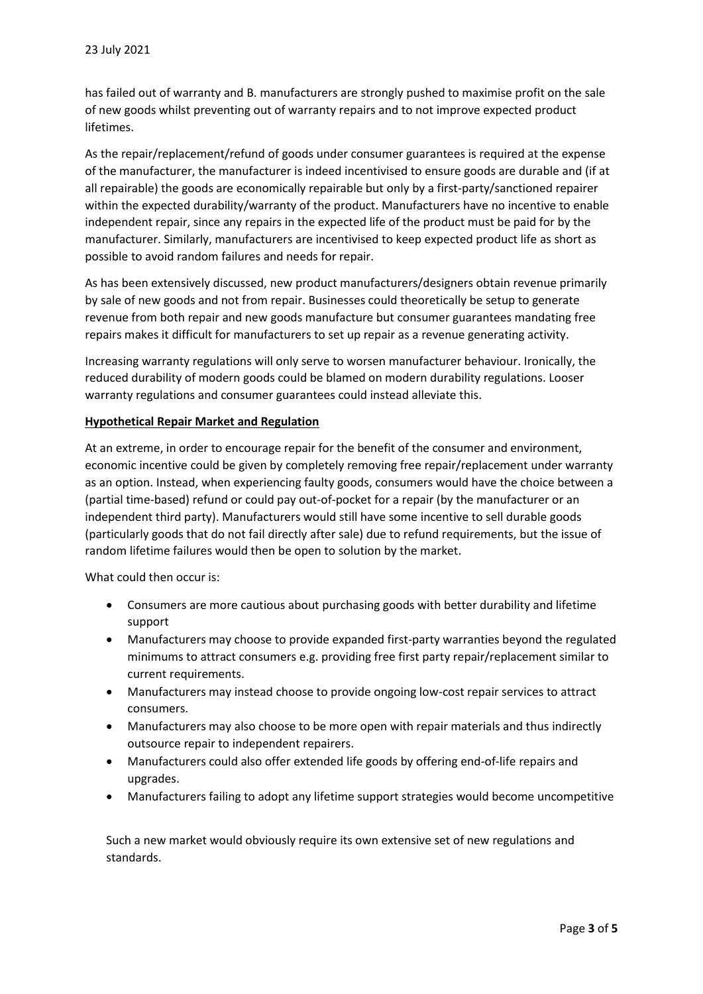has failed out of warranty and B. manufacturers are strongly pushed to maximise profit on the sale of new goods whilst preventing out of warranty repairs and to not improve expected product lifetimes.

As the repair/replacement/refund of goods under consumer guarantees is required at the expense of the manufacturer, the manufacturer is indeed incentivised to ensure goods are durable and (if at all repairable) the goods are economically repairable but only by a first-party/sanctioned repairer within the expected durability/warranty of the product. Manufacturers have no incentive to enable independent repair, since any repairs in the expected life of the product must be paid for by the manufacturer. Similarly, manufacturers are incentivised to keep expected product life as short as possible to avoid random failures and needs for repair.

As has been extensively discussed, new product manufacturers/designers obtain revenue primarily by sale of new goods and not from repair. Businesses could theoretically be setup to generate revenue from both repair and new goods manufacture but consumer guarantees mandating free repairs makes it difficult for manufacturers to set up repair as a revenue generating activity.

Increasing warranty regulations will only serve to worsen manufacturer behaviour. Ironically, the reduced durability of modern goods could be blamed on modern durability regulations. Looser warranty regulations and consumer guarantees could instead alleviate this.

## **Hypothetical Repair Market and Regulation**

At an extreme, in order to encourage repair for the benefit of the consumer and environment, economic incentive could be given by completely removing free repair/replacement under warranty as an option. Instead, when experiencing faulty goods, consumers would have the choice between a (partial time-based) refund or could pay out-of-pocket for a repair (by the manufacturer or an independent third party). Manufacturers would still have some incentive to sell durable goods (particularly goods that do not fail directly after sale) due to refund requirements, but the issue of random lifetime failures would then be open to solution by the market.

What could then occur is:

- Consumers are more cautious about purchasing goods with better durability and lifetime support
- Manufacturers may choose to provide expanded first-party warranties beyond the regulated minimums to attract consumers e.g. providing free first party repair/replacement similar to current requirements.
- Manufacturers may instead choose to provide ongoing low-cost repair services to attract consumers.
- Manufacturers may also choose to be more open with repair materials and thus indirectly outsource repair to independent repairers.
- Manufacturers could also offer extended life goods by offering end-of-life repairs and upgrades.
- Manufacturers failing to adopt any lifetime support strategies would become uncompetitive

Such a new market would obviously require its own extensive set of new regulations and standards.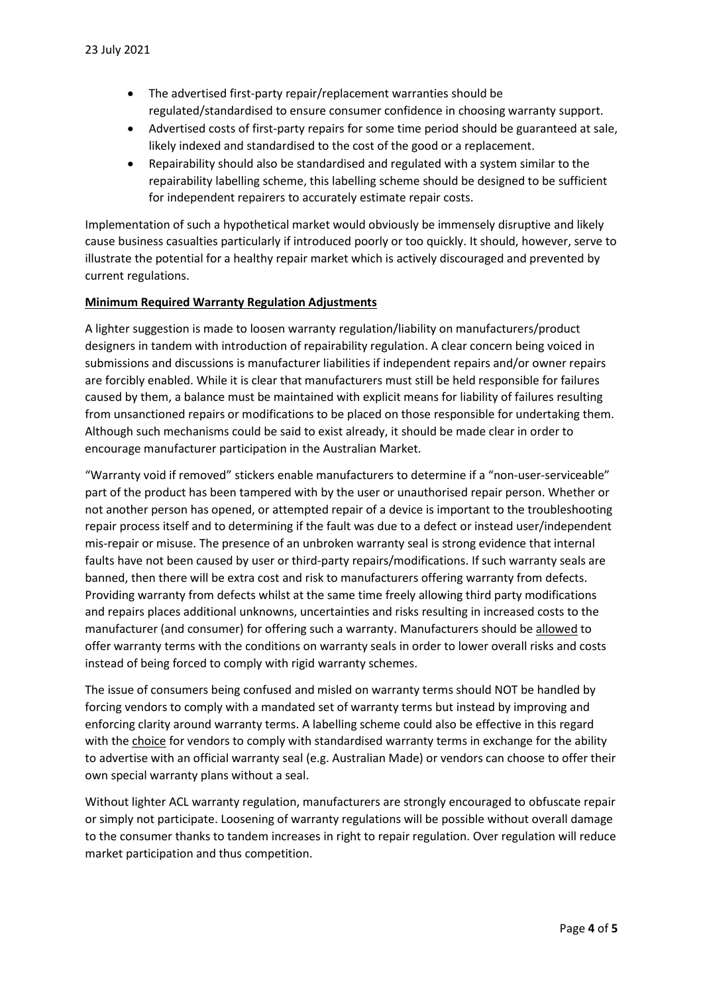- The advertised first-party repair/replacement warranties should be regulated/standardised to ensure consumer confidence in choosing warranty support.
- Advertised costs of first-party repairs for some time period should be guaranteed at sale, likely indexed and standardised to the cost of the good or a replacement.
- Repairability should also be standardised and regulated with a system similar to the repairability labelling scheme, this labelling scheme should be designed to be sufficient for independent repairers to accurately estimate repair costs.

Implementation of such a hypothetical market would obviously be immensely disruptive and likely cause business casualties particularly if introduced poorly or too quickly. It should, however, serve to illustrate the potential for a healthy repair market which is actively discouraged and prevented by current regulations.

# **Minimum Required Warranty Regulation Adjustments**

A lighter suggestion is made to loosen warranty regulation/liability on manufacturers/product designers in tandem with introduction of repairability regulation. A clear concern being voiced in submissions and discussions is manufacturer liabilities if independent repairs and/or owner repairs are forcibly enabled. While it is clear that manufacturers must still be held responsible for failures caused by them, a balance must be maintained with explicit means for liability of failures resulting from unsanctioned repairs or modifications to be placed on those responsible for undertaking them. Although such mechanisms could be said to exist already, it should be made clear in order to encourage manufacturer participation in the Australian Market.

"Warranty void if removed" stickers enable manufacturers to determine if a "non-user-serviceable" part of the product has been tampered with by the user or unauthorised repair person. Whether or not another person has opened, or attempted repair of a device is important to the troubleshooting repair process itself and to determining if the fault was due to a defect or instead user/independent mis-repair or misuse. The presence of an unbroken warranty seal is strong evidence that internal faults have not been caused by user or third-party repairs/modifications. If such warranty seals are banned, then there will be extra cost and risk to manufacturers offering warranty from defects. Providing warranty from defects whilst at the same time freely allowing third party modifications and repairs places additional unknowns, uncertainties and risks resulting in increased costs to the manufacturer (and consumer) for offering such a warranty. Manufacturers should be allowed to offer warranty terms with the conditions on warranty seals in order to lower overall risks and costs instead of being forced to comply with rigid warranty schemes.

The issue of consumers being confused and misled on warranty terms should NOT be handled by forcing vendors to comply with a mandated set of warranty terms but instead by improving and enforcing clarity around warranty terms. A labelling scheme could also be effective in this regard with the choice for vendors to comply with standardised warranty terms in exchange for the ability to advertise with an official warranty seal (e.g. Australian Made) or vendors can choose to offer their own special warranty plans without a seal.

Without lighter ACL warranty regulation, manufacturers are strongly encouraged to obfuscate repair or simply not participate. Loosening of warranty regulations will be possible without overall damage to the consumer thanks to tandem increases in right to repair regulation. Over regulation will reduce market participation and thus competition.